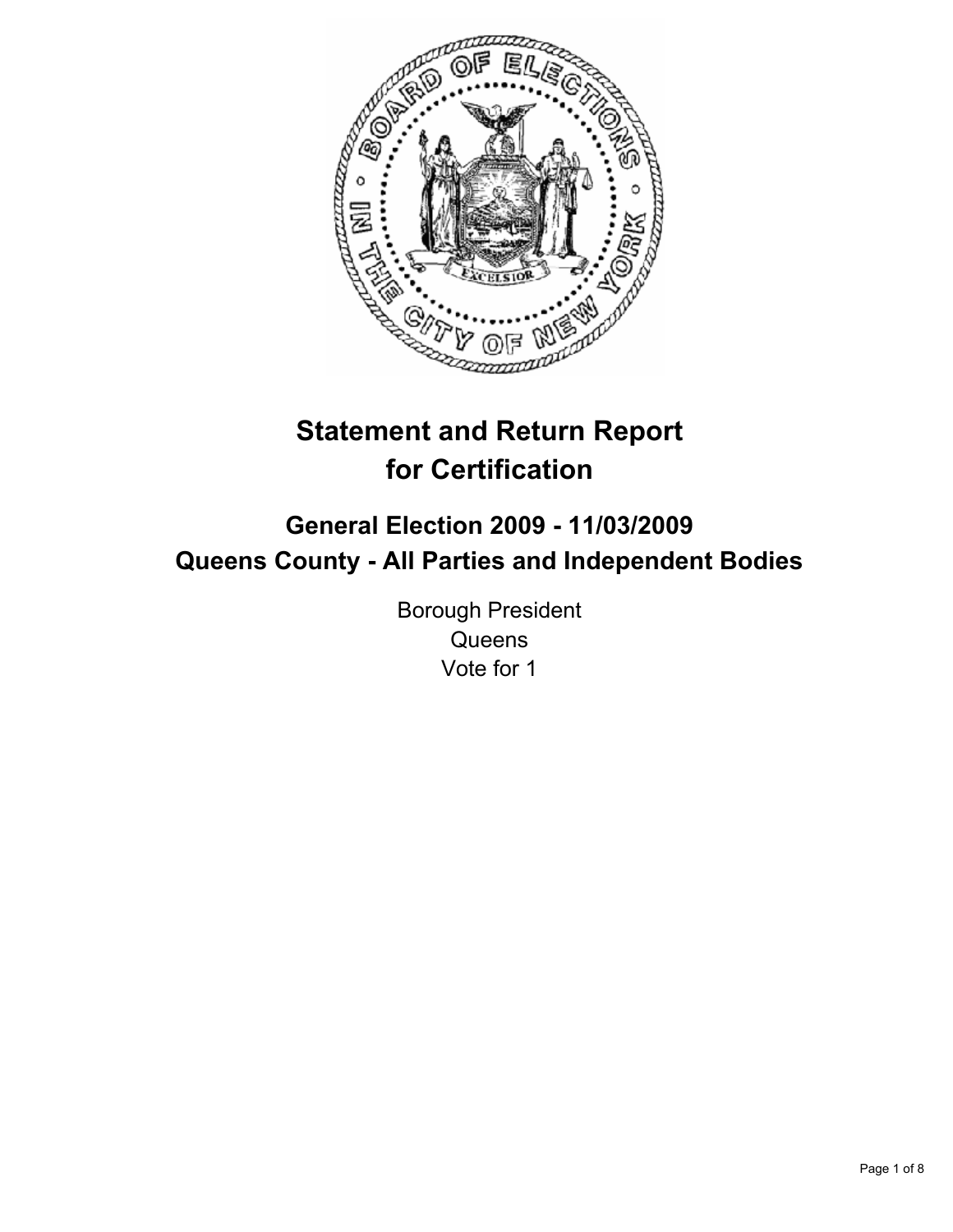

# **Statement and Return Report for Certification**

## **General Election 2009 - 11/03/2009 Queens County - All Parties and Independent Bodies**

Borough President **Queens** Vote for 1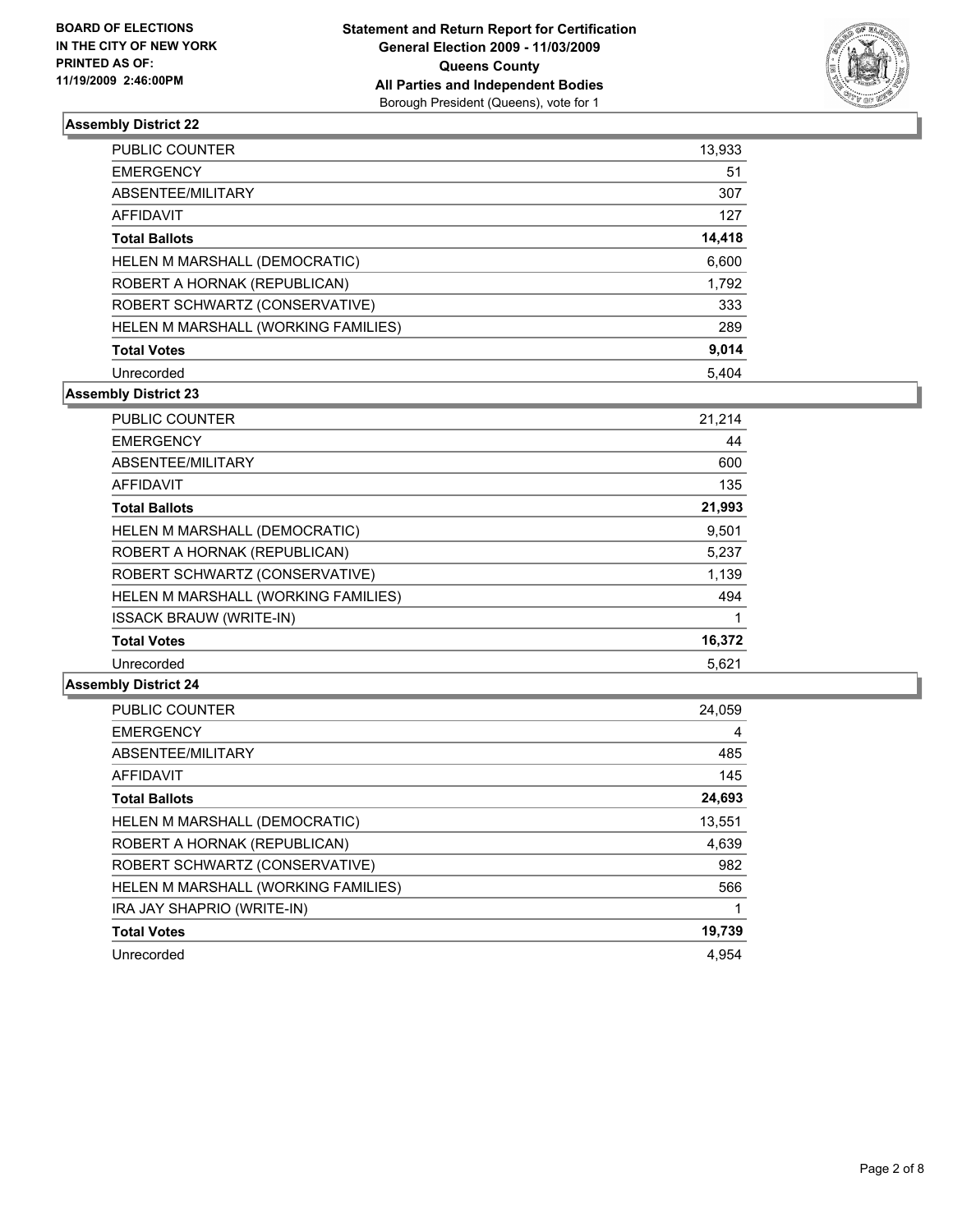

| <b>PUBLIC COUNTER</b>               | 13,933 |
|-------------------------------------|--------|
| <b>EMERGENCY</b>                    | 51     |
| ABSENTEE/MILITARY                   | 307    |
| AFFIDAVIT                           | 127    |
| <b>Total Ballots</b>                | 14,418 |
| HELEN M MARSHALL (DEMOCRATIC)       | 6,600  |
| ROBERT A HORNAK (REPUBLICAN)        | 1,792  |
| ROBERT SCHWARTZ (CONSERVATIVE)      | 333    |
| HELEN M MARSHALL (WORKING FAMILIES) | 289    |
| <b>Total Votes</b>                  | 9,014  |
| Unrecorded                          | 5.404  |

#### **Assembly District 23**

| <b>PUBLIC COUNTER</b>               | 21,214 |
|-------------------------------------|--------|
| <b>EMERGENCY</b>                    | 44     |
| ABSENTEE/MILITARY                   | 600    |
| <b>AFFIDAVIT</b>                    | 135    |
| <b>Total Ballots</b>                | 21,993 |
| HELEN M MARSHALL (DEMOCRATIC)       | 9,501  |
| ROBERT A HORNAK (REPUBLICAN)        | 5,237  |
| ROBERT SCHWARTZ (CONSERVATIVE)      | 1,139  |
| HELEN M MARSHALL (WORKING FAMILIES) | 494    |
| <b>ISSACK BRAUW (WRITE-IN)</b>      |        |
| <b>Total Votes</b>                  | 16,372 |
| Unrecorded                          | 5.621  |

| <b>PUBLIC COUNTER</b>               | 24,059 |
|-------------------------------------|--------|
| <b>EMERGENCY</b>                    | 4      |
| ABSENTEE/MILITARY                   | 485    |
| <b>AFFIDAVIT</b>                    | 145    |
| <b>Total Ballots</b>                | 24,693 |
| HELEN M MARSHALL (DEMOCRATIC)       | 13,551 |
| ROBERT A HORNAK (REPUBLICAN)        | 4,639  |
| ROBERT SCHWARTZ (CONSERVATIVE)      | 982    |
| HELEN M MARSHALL (WORKING FAMILIES) | 566    |
| IRA JAY SHAPRIO (WRITE-IN)          |        |
| <b>Total Votes</b>                  | 19,739 |
| Unrecorded                          | 4.954  |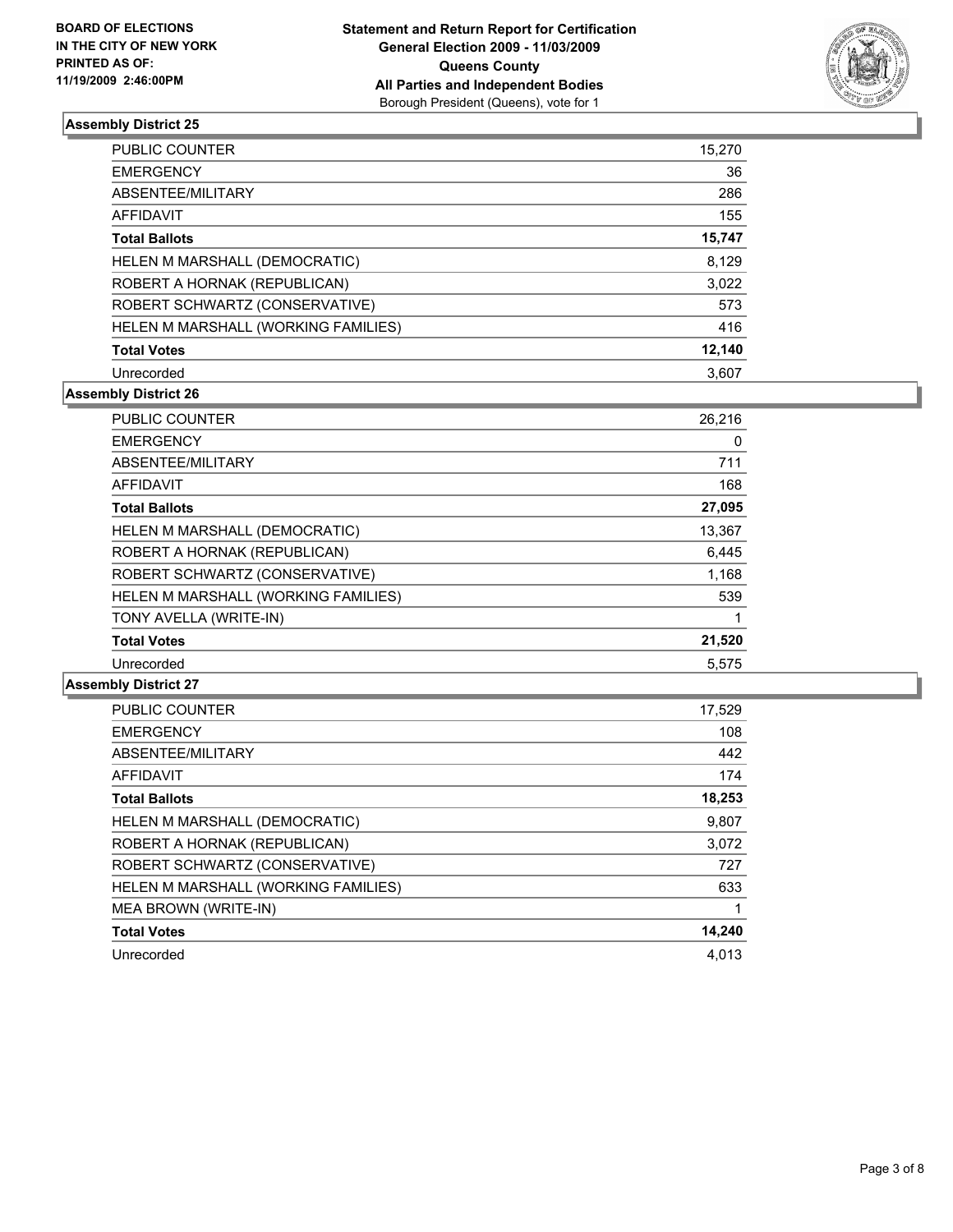

| PUBLIC COUNTER                      | 15,270 |
|-------------------------------------|--------|
| <b>EMERGENCY</b>                    | 36     |
| ABSENTEE/MILITARY                   | 286    |
| AFFIDAVIT                           | 155    |
| <b>Total Ballots</b>                | 15,747 |
| HELEN M MARSHALL (DEMOCRATIC)       | 8,129  |
| ROBERT A HORNAK (REPUBLICAN)        | 3,022  |
| ROBERT SCHWARTZ (CONSERVATIVE)      | 573    |
| HELEN M MARSHALL (WORKING FAMILIES) | 416    |
| <b>Total Votes</b>                  | 12,140 |
| Unrecorded                          | 3.607  |

#### **Assembly District 26**

| <b>PUBLIC COUNTER</b>               | 26,216 |
|-------------------------------------|--------|
| <b>EMERGENCY</b>                    | 0      |
| ABSENTEE/MILITARY                   | 711    |
| <b>AFFIDAVIT</b>                    | 168    |
| <b>Total Ballots</b>                | 27,095 |
| HELEN M MARSHALL (DEMOCRATIC)       | 13,367 |
| ROBERT A HORNAK (REPUBLICAN)        | 6,445  |
| ROBERT SCHWARTZ (CONSERVATIVE)      | 1,168  |
| HELEN M MARSHALL (WORKING FAMILIES) | 539    |
| TONY AVELLA (WRITE-IN)              |        |
| <b>Total Votes</b>                  | 21,520 |
| Unrecorded                          | 5.575  |

| <b>PUBLIC COUNTER</b>               | 17,529 |
|-------------------------------------|--------|
| <b>EMERGENCY</b>                    | 108    |
| ABSENTEE/MILITARY                   | 442    |
| AFFIDAVIT                           | 174    |
| <b>Total Ballots</b>                | 18,253 |
| HELEN M MARSHALL (DEMOCRATIC)       | 9,807  |
| ROBERT A HORNAK (REPUBLICAN)        | 3,072  |
| ROBERT SCHWARTZ (CONSERVATIVE)      | 727    |
| HELEN M MARSHALL (WORKING FAMILIES) | 633    |
| MEA BROWN (WRITE-IN)                |        |
| <b>Total Votes</b>                  | 14,240 |
| Unrecorded                          | 4.013  |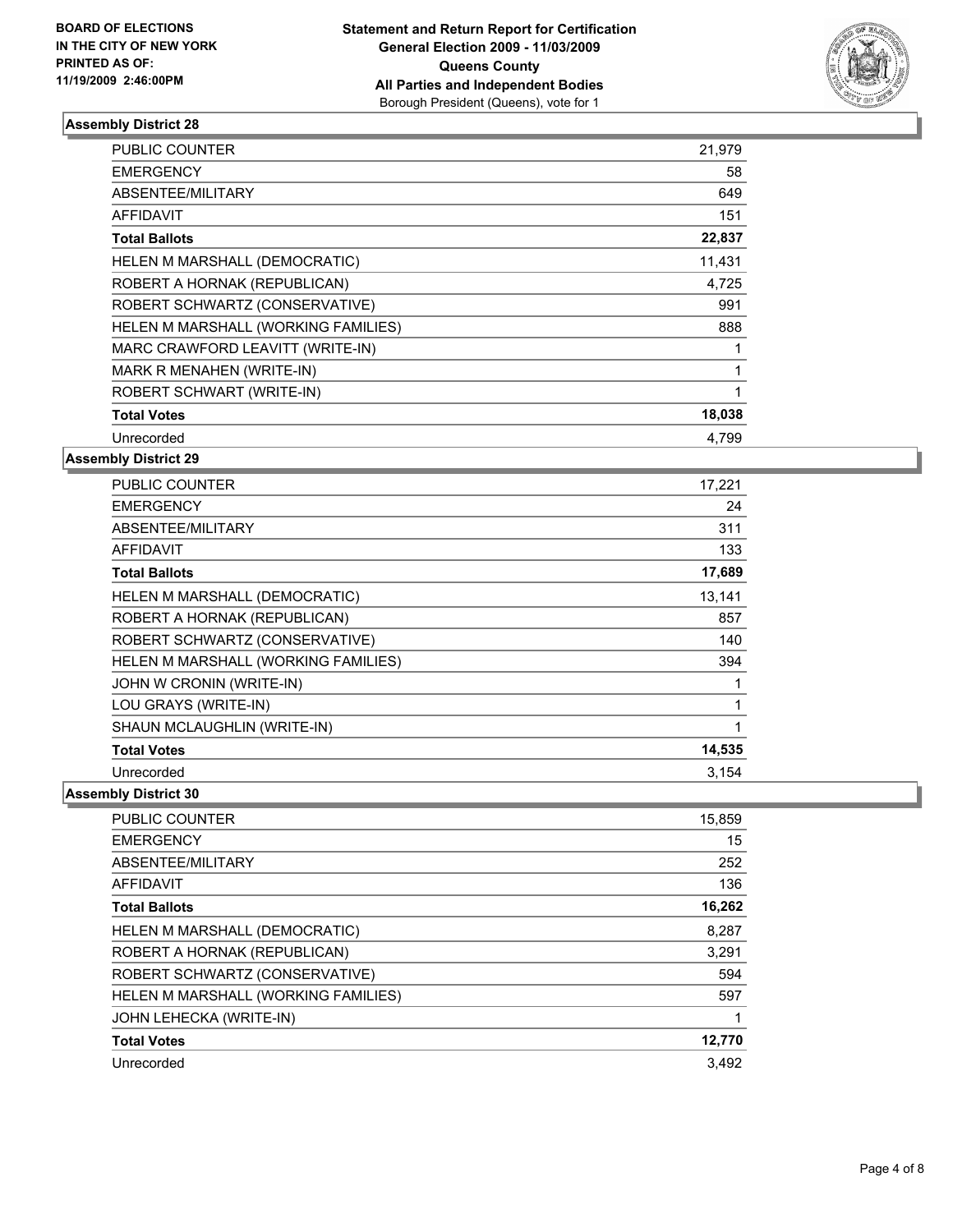

| <b>PUBLIC COUNTER</b>                | 21,979       |
|--------------------------------------|--------------|
| <b>EMERGENCY</b>                     | 58           |
| ABSENTEE/MILITARY                    | 649          |
| <b>AFFIDAVIT</b>                     | 151          |
| <b>Total Ballots</b>                 | 22,837       |
| <b>HELEN M MARSHALL (DEMOCRATIC)</b> | 11,431       |
| ROBERT A HORNAK (REPUBLICAN)         | 4,725        |
| ROBERT SCHWARTZ (CONSERVATIVE)       | 991          |
| HELEN M MARSHALL (WORKING FAMILIES)  | 888          |
| MARC CRAWFORD LEAVITT (WRITE-IN)     | 1            |
| MARK R MENAHEN (WRITE-IN)            | 1            |
| ROBERT SCHWART (WRITE-IN)            | $\mathbf{1}$ |
| <b>Total Votes</b>                   | 18,038       |
| Unrecorded                           | 4.799        |
|                                      |              |

**Assembly District 29**

| <b>PUBLIC COUNTER</b>               | 17,221 |
|-------------------------------------|--------|
| <b>EMERGENCY</b>                    | 24     |
| ABSENTEE/MILITARY                   | 311    |
| <b>AFFIDAVIT</b>                    | 133    |
| <b>Total Ballots</b>                | 17,689 |
| HELEN M MARSHALL (DEMOCRATIC)       | 13,141 |
| ROBERT A HORNAK (REPUBLICAN)        | 857    |
| ROBERT SCHWARTZ (CONSERVATIVE)      | 140    |
| HELEN M MARSHALL (WORKING FAMILIES) | 394    |
| JOHN W CRONIN (WRITE-IN)            |        |
| LOU GRAYS (WRITE-IN)                | 1      |
| SHAUN MCLAUGHLIN (WRITE-IN)         | 1      |
| <b>Total Votes</b>                  | 14,535 |
| Unrecorded                          | 3.154  |

| <b>PUBLIC COUNTER</b>               | 15,859 |
|-------------------------------------|--------|
| <b>EMERGENCY</b>                    | 15     |
| ABSENTEE/MILITARY                   | 252    |
| <b>AFFIDAVIT</b>                    | 136    |
| <b>Total Ballots</b>                | 16,262 |
| HELEN M MARSHALL (DEMOCRATIC)       | 8.287  |
| ROBERT A HORNAK (REPUBLICAN)        | 3.291  |
| ROBERT SCHWARTZ (CONSERVATIVE)      | 594    |
| HELEN M MARSHALL (WORKING FAMILIES) | 597    |
| JOHN LEHECKA (WRITE-IN)             |        |
| <b>Total Votes</b>                  | 12,770 |
| Unrecorded                          | 3.492  |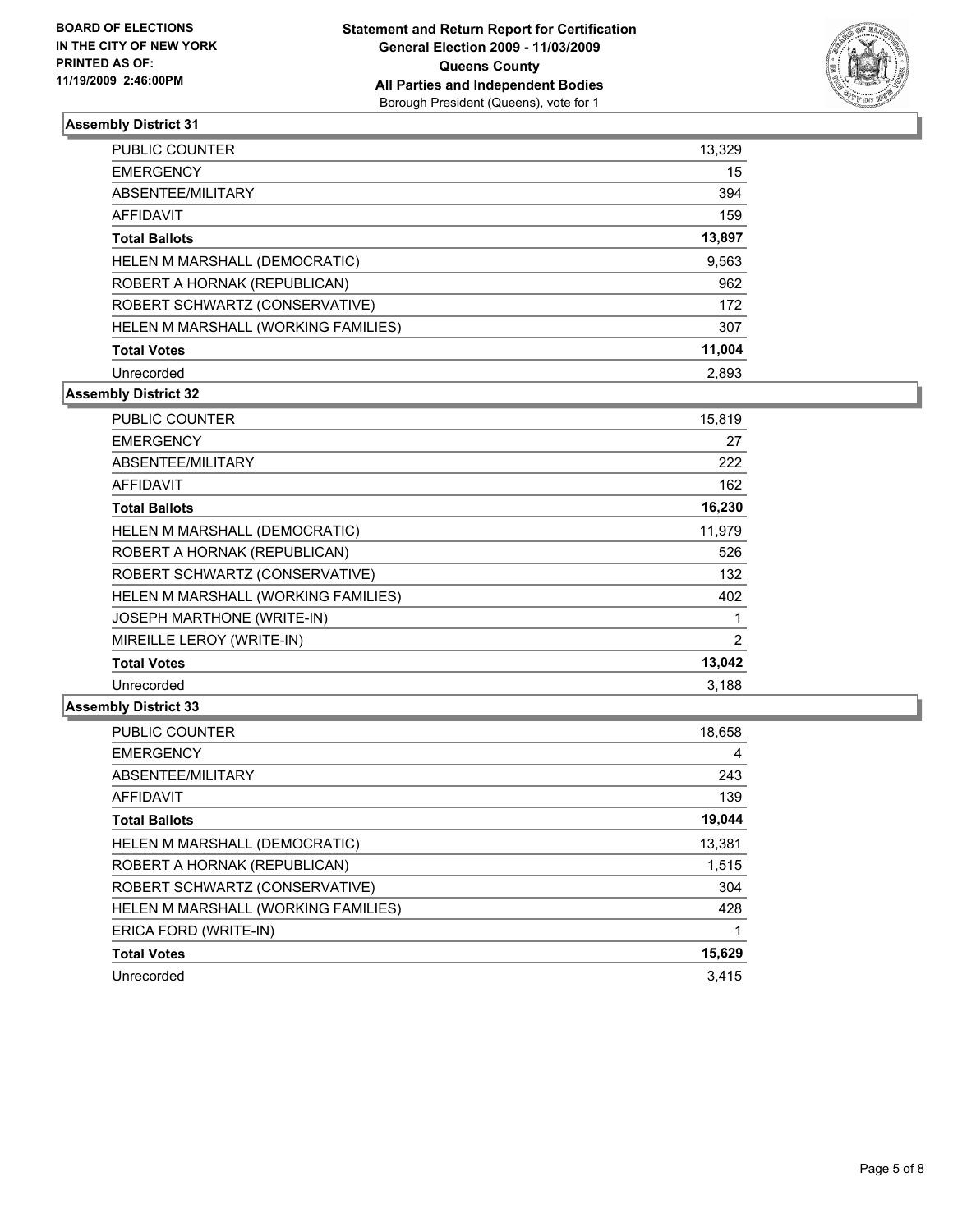

| <b>PUBLIC COUNTER</b>               | 13,329 |
|-------------------------------------|--------|
| <b>EMERGENCY</b>                    | 15     |
| ABSENTEE/MILITARY                   | 394    |
| AFFIDAVIT                           | 159    |
| <b>Total Ballots</b>                | 13,897 |
| HELEN M MARSHALL (DEMOCRATIC)       | 9,563  |
| ROBERT A HORNAK (REPUBLICAN)        | 962    |
| ROBERT SCHWARTZ (CONSERVATIVE)      | 172    |
| HELEN M MARSHALL (WORKING FAMILIES) | 307    |
| <b>Total Votes</b>                  | 11,004 |
| Unrecorded                          | 2,893  |

#### **Assembly District 32**

| <b>PUBLIC COUNTER</b>               | 15,819 |
|-------------------------------------|--------|
| <b>EMERGENCY</b>                    | 27     |
| ABSENTEE/MILITARY                   | 222    |
| <b>AFFIDAVIT</b>                    | 162    |
| <b>Total Ballots</b>                | 16,230 |
| HELEN M MARSHALL (DEMOCRATIC)       | 11,979 |
| ROBERT A HORNAK (REPUBLICAN)        | 526    |
| ROBERT SCHWARTZ (CONSERVATIVE)      | 132    |
| HELEN M MARSHALL (WORKING FAMILIES) | 402    |
| <b>JOSEPH MARTHONE (WRITE-IN)</b>   | 1      |
| MIREILLE LEROY (WRITE-IN)           | 2      |
| <b>Total Votes</b>                  | 13,042 |
| Unrecorded                          | 3,188  |

| <b>PUBLIC COUNTER</b>               | 18,658 |
|-------------------------------------|--------|
| <b>EMERGENCY</b>                    | 4      |
| ABSENTEE/MILITARY                   | 243    |
| <b>AFFIDAVIT</b>                    | 139    |
| <b>Total Ballots</b>                | 19,044 |
| HELEN M MARSHALL (DEMOCRATIC)       | 13,381 |
| ROBERT A HORNAK (REPUBLICAN)        | 1,515  |
| ROBERT SCHWARTZ (CONSERVATIVE)      | 304    |
| HELEN M MARSHALL (WORKING FAMILIES) | 428    |
| ERICA FORD (WRITE-IN)               |        |
| <b>Total Votes</b>                  | 15,629 |
| Unrecorded                          | 3.415  |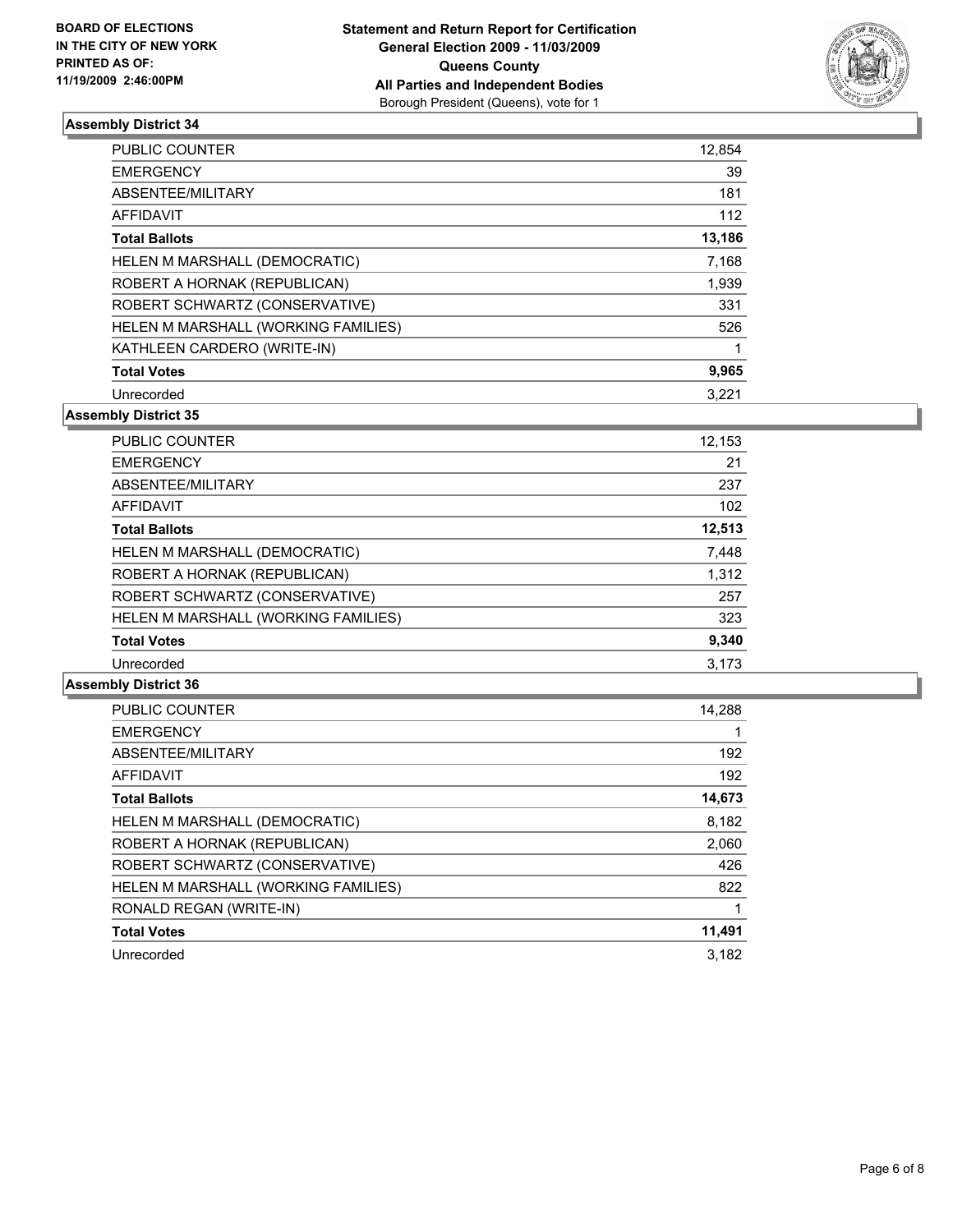

| <b>PUBLIC COUNTER</b>               | 12,854 |
|-------------------------------------|--------|
| <b>EMERGENCY</b>                    | 39     |
| ABSENTEE/MILITARY                   | 181    |
| <b>AFFIDAVIT</b>                    | 112    |
| <b>Total Ballots</b>                | 13,186 |
| HELEN M MARSHALL (DEMOCRATIC)       | 7,168  |
| ROBERT A HORNAK (REPUBLICAN)        | 1,939  |
| ROBERT SCHWARTZ (CONSERVATIVE)      | 331    |
| HELEN M MARSHALL (WORKING FAMILIES) | 526    |
| KATHLEEN CARDERO (WRITE-IN)         |        |
| <b>Total Votes</b>                  | 9,965  |
| Unrecorded                          | 3.221  |

**Assembly District 35**

| PUBLIC COUNTER                      | 12,153 |
|-------------------------------------|--------|
| <b>EMERGENCY</b>                    | 21     |
| ABSENTEE/MILITARY                   | 237    |
| AFFIDAVIT                           | 102    |
| <b>Total Ballots</b>                | 12,513 |
| HELEN M MARSHALL (DEMOCRATIC)       | 7,448  |
| ROBERT A HORNAK (REPUBLICAN)        | 1,312  |
| ROBERT SCHWARTZ (CONSERVATIVE)      | 257    |
| HELEN M MARSHALL (WORKING FAMILIES) | 323    |
| <b>Total Votes</b>                  | 9,340  |
| Unrecorded                          | 3.173  |

| <b>PUBLIC COUNTER</b>               | 14.288 |
|-------------------------------------|--------|
| <b>EMERGENCY</b>                    |        |
| ABSENTEE/MILITARY                   | 192    |
| <b>AFFIDAVIT</b>                    | 192    |
| <b>Total Ballots</b>                | 14,673 |
| HELEN M MARSHALL (DEMOCRATIC)       | 8,182  |
| ROBERT A HORNAK (REPUBLICAN)        | 2,060  |
| ROBERT SCHWARTZ (CONSERVATIVE)      | 426    |
| HELEN M MARSHALL (WORKING FAMILIES) | 822    |
| RONALD REGAN (WRITE-IN)             |        |
| <b>Total Votes</b>                  | 11,491 |
| Unrecorded                          | 3.182  |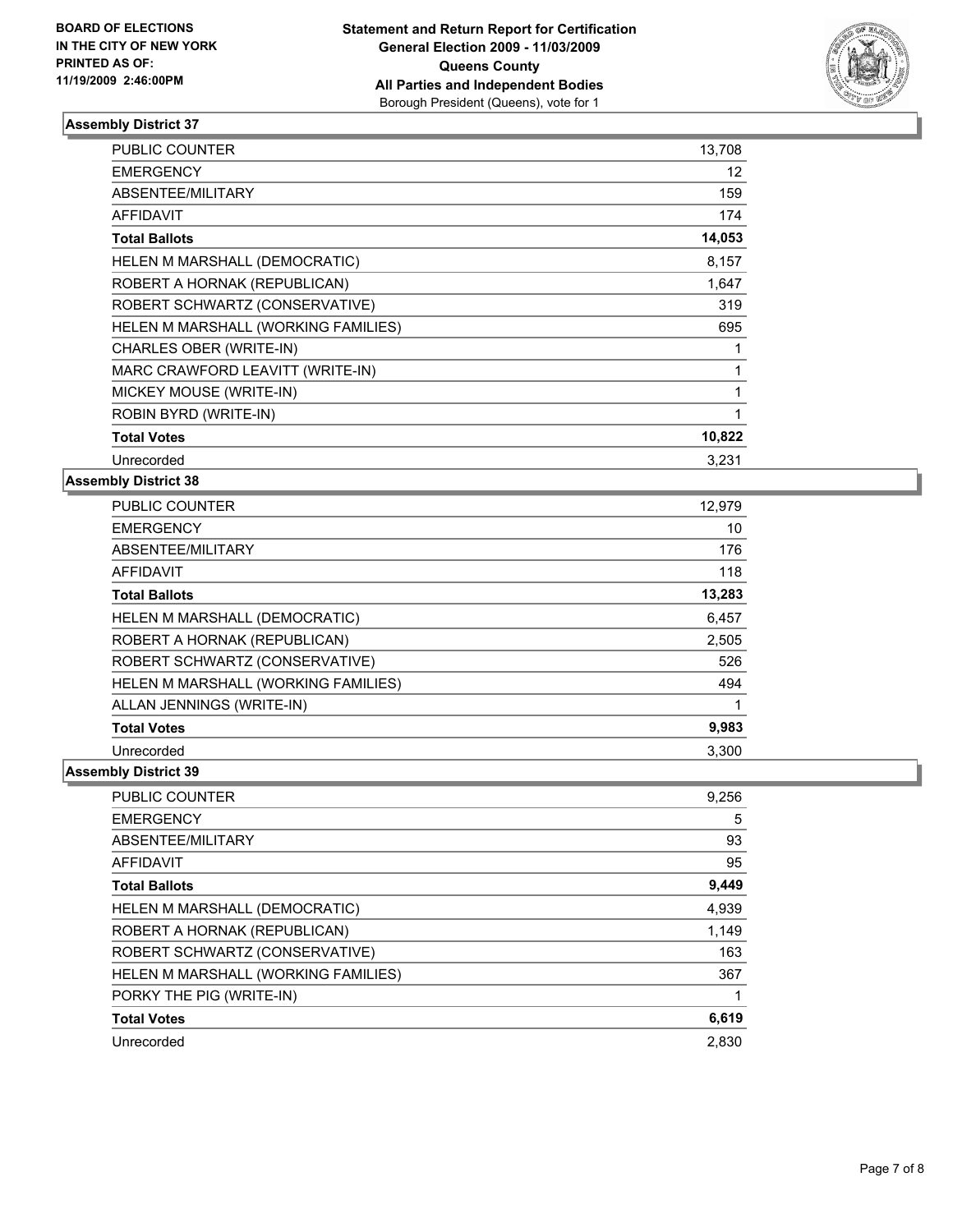

| PUBLIC COUNTER                      | 13,708 |
|-------------------------------------|--------|
| <b>EMERGENCY</b>                    | 12     |
| ABSENTEE/MILITARY                   | 159    |
| AFFIDAVIT                           | 174    |
| <b>Total Ballots</b>                | 14,053 |
| HELEN M MARSHALL (DEMOCRATIC)       | 8,157  |
| ROBERT A HORNAK (REPUBLICAN)        | 1,647  |
| ROBERT SCHWARTZ (CONSERVATIVE)      | 319    |
| HELEN M MARSHALL (WORKING FAMILIES) | 695    |
| CHARLES OBER (WRITE-IN)             | 1      |
| MARC CRAWFORD LEAVITT (WRITE-IN)    | 1      |
| MICKEY MOUSE (WRITE-IN)             | 1      |
| ROBIN BYRD (WRITE-IN)               | 1      |
| <b>Total Votes</b>                  | 10,822 |
| Unrecorded                          | 3.231  |

#### **Assembly District 38**

| PUBLIC COUNTER                      | 12,979 |
|-------------------------------------|--------|
| <b>EMERGENCY</b>                    | 10     |
| ABSENTEE/MILITARY                   | 176    |
| <b>AFFIDAVIT</b>                    | 118    |
| <b>Total Ballots</b>                | 13,283 |
| HELEN M MARSHALL (DEMOCRATIC)       | 6,457  |
| ROBERT A HORNAK (REPUBLICAN)        | 2,505  |
| ROBERT SCHWARTZ (CONSERVATIVE)      | 526    |
| HELEN M MARSHALL (WORKING FAMILIES) | 494    |
| ALLAN JENNINGS (WRITE-IN)           | 1      |
| <b>Total Votes</b>                  | 9,983  |
| Unrecorded                          | 3,300  |

| <b>PUBLIC COUNTER</b>               | 9,256 |
|-------------------------------------|-------|
| <b>EMERGENCY</b>                    | 5     |
| ABSENTEE/MILITARY                   | 93    |
| AFFIDAVIT                           | 95    |
| <b>Total Ballots</b>                | 9,449 |
| HELEN M MARSHALL (DEMOCRATIC)       | 4,939 |
| ROBERT A HORNAK (REPUBLICAN)        | 1,149 |
| ROBERT SCHWARTZ (CONSERVATIVE)      | 163   |
| HELEN M MARSHALL (WORKING FAMILIES) | 367   |
| PORKY THE PIG (WRITE-IN)            |       |
| <b>Total Votes</b>                  | 6,619 |
| Unrecorded                          | 2.830 |